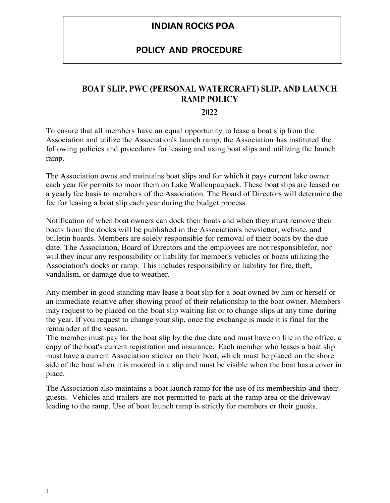### **INDIAN ROCKS POA**

#### **POLICY AND PROCEDURE**

#### **BOAT SLIP, PWC (PERSONAL WATERCRAFT) SLIP, AND LAUNCH RAMP POLICY**

#### **2022**

To ensure that all members have an equal opportunity to lease a boat slip from the Association and utilize the Association's launch ramp, the Association has instituted the following policies and procedures for leasing and using boat slips and utilizing the launch ramp.

The Association owns and maintains boat slips and for which it pays current lake owner each year for permits to moor them on Lake Wallenpaupack. These boat slips are leased on a yearly fee basis to members of the Association. The Board of Directors will determine the fee for leasing a boat slip each year during the budget process.

Notification of when boat owners can dock their boats and when they must remove their boats from the docks will be published in the Association's newsletter, website, and bulletin boards. Members are solely responsible for removal of their boats by the due date. The Association, Board of Directors and the employees are not responsiblefor, nor will they incur any responsibility or liability for member's vehicles or boats utilizing the Association's docks or ramp. This includes responsibility or liability for fire, theft, vandalism, or damage due to weather.

Any member in good standing may lease a boat slip for a boat owned by him or herself or an immediate relative after showing proof of their relationship to the boat owner. Members may request to be placed on the boat slip waiting list or to change slips at any time during the year. If you request to change your slip, once the exchange is made it is final for the remainder of the season.

The member must pay for the boat slip by the due date and must have on file in the office, a copy of the boat's current registration and insurance. Each member who leases a boat slip must have a current Association sticker on their boat, which must be placed on the shore side of the boat when it is moored in a slip and must be visible when the boat has a cover in place.

The Association also maintains a boat launch ramp for the use of its membership and their guests. Vehicles and trailers are not permitted to park at the ramp area or the driveway leading to the ramp. Use of boat launch ramp is strictly for members or their guests.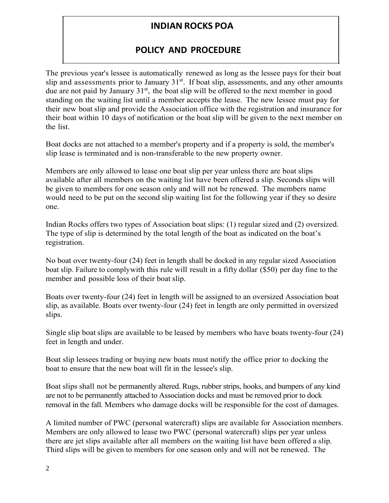## **INDIAN ROCKS POA**

## **POLICY AND PROCEDURE**

The previous year's lessee is automatically renewed as long as the lessee pays for their boat slip and assessments prior to January 31<sup>st</sup>. If boat slip, assessments, and any other amounts due are not paid by January 31<sup>st</sup>, the boat slip will be offered to the next member in good standing on the waiting list until a member accepts the lease. The new lessee must pay for their new boat slip and provide the Association office with the registration and insurance for their boat within 10 days of notification or the boat slip will be given to the next member on the list.

Boat docks are not attached to a member's property and if a property is sold, the member's slip lease is terminated and is non-transferable to the new property owner.

Members are only allowed to lease one boat slip per year unless there are boat slips available after all members on the waiting list have been offered a slip. Seconds slips will be given to members for one season only and will not be renewed. The members name would need to be put on the second slip waiting list for the following year if they so desire one.

Indian Rocks offers two types of Association boat slips: (1) regular sized and (2) oversized. The type of slip is determined by the total length of the boat as indicated on the boat's registration.

No boat over twenty-four (24) feet in length shall be docked in any regular sized Association boat slip. Failure to comply with this rule will result in a fifty dollar (\$50) per day fine to the member and possible loss of their boat slip.

Boats over twenty-four (24) feet in length will be assigned to an oversized Association boat slip, as available. Boats over twenty-four (24) feet in length are only permitted in oversized slips.

Single slip boat slips are available to be leased by members who have boats twenty-four (24) feet in length and under.

Boat slip lessees trading or buying new boats must notify the office prior to docking the boat to ensure that the new boat will fit in the lessee's slip.

Boat slips shall not be permanently altered. Rugs, rubber strips, hooks, and bumpers of any kind are not to be permanently attached to Association docks and must be removed prior to dock removal in the fall. Members who damage docks will be responsible for the cost of damages.

A limited number of PWC (personal watercraft) slips are available for Association members. Members are only allowed to lease two PWC (personal watercraft) slips per year unless there are jet slips available after all members on the waiting list have been offered a slip. Third slips will be given to members for one season only and will not be renewed. The